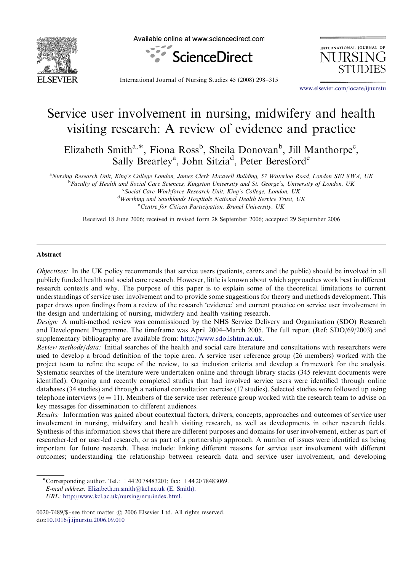

Available online at www.sciencedirect.com



INTERNATIONAL JOURNAL OF **JURSII** 

International Journal of Nursing Studies 45 (2008) 298–315

<www.elsevier.com/locate/ijnurstu>

# Service user involvement in nursing, midwifery and health visiting research: A review of evidence and practice

Elizabeth Smith<sup>a,\*</sup>, Fiona Ross<sup>b</sup>, Sheila Donovan<sup>b</sup>, Jill Manthorpe<sup>c</sup>, Sally Brearley<sup>a</sup>, John Sitzia<sup>d</sup>, Peter Beresford<sup>e</sup>

<sup>a</sup>Nursing Research Unit, King's College London, James Clerk Maxwell Building, 57 Waterloo Road, London SE1 8WA, UK

<sup>b</sup>Faculty of Health and Social Care Sciences, Kingston University and St. George's, University of London, UK

<sup>c</sup> Social Care Workforce Research Unit, King's College, London, UK <sup>d</sup> Worthing and Southlands Hospitals National Health Service Trust, UK <sup>e</sup> Centre for Citizen Participation, Brunel University, UK

Received 18 June 2006; received in revised form 28 September 2006; accepted 29 September 2006

#### Abstract

Objectives: In the UK policy recommends that service users (patients, carers and the public) should be involved in all publicly funded health and social care research. However, little is known about which approaches work best in different research contexts and why. The purpose of this paper is to explain some of the theoretical limitations to current understandings of service user involvement and to provide some suggestions for theory and methods development. This paper draws upon findings from a review of the research 'evidence' and current practice on service user involvement in the design and undertaking of nursing, midwifery and health visiting research.

Design: A multi-method review was commissioned by the NHS Service Delivery and Organisation (SDO) Research and Development Programme. The timeframe was April 2004–March 2005. The full report (Ref: SDO/69/2003) and supplementary bibliography are available from: [http://www.sdo.lshtm.ac.uk.](http://www.sdo.lshtm.ac.uk)

Review methods/data: Initial searches of the health and social care literature and consultations with researchers were used to develop a broad definition of the topic area. A service user reference group (26 members) worked with the project team to refine the scope of the review, to set inclusion criteria and develop a framework for the analysis. Systematic searches of the literature were undertaken online and through library stacks (345 relevant documents were identified). Ongoing and recently completed studies that had involved service users were identified through online databases (34 studies) and through a national consultation exercise (17 studies). Selected studies were followed up using telephone interviews  $(n = 11)$ . Members of the service user reference group worked with the research team to advise on key messages for dissemination to different audiences.

Results: Information was gained about contextual factors, drivers, concepts, approaches and outcomes of service user involvement in nursing, midwifery and health visiting research, as well as developments in other research fields. Synthesis of this information shows that there are different purposes and domains for user involvement, either as part of researcher-led or user-led research, or as part of a partnership approach. A number of issues were identified as being important for future research. These include: linking different reasons for service user involvement with different outcomes; understanding the relationship between research data and service user involvement, and developing

E-mail address: [Elizabeth.m.smith@kcl.ac.uk \(E. Smith\).](mailto:Elizabeth.m.smith@kcl.ac.uk)

<sup>-</sup>Corresponding author. Tel.: +44 20 78483201; fax: +44 20 78483069.

URL: [http://www.kcl.ac.uk/nursing/nru/index.html.](http://www.kcl.ac.uk/nursing/nru/index.html)

<sup>0020-7489/\$ -</sup> see front matter  $\circ$  2006 Elsevier Ltd. All rights reserved. doi[:10.1016/j.ijnurstu.2006.09.010](dx.doi.org/10.1016/j.ijnurstu.2006.09.010)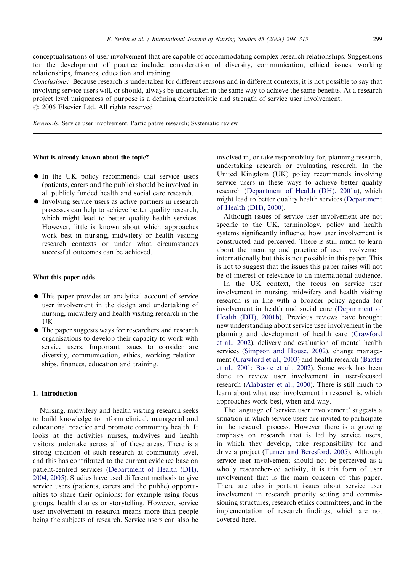conceptualisations of user involvement that are capable of accommodating complex research relationships. Suggestions for the development of practice include: consideration of diversity, communication, ethical issues, working relationships, finances, education and training.

Conclusions: Because research is undertaken for different reasons and in different contexts, it is not possible to say that involving service users will, or should, always be undertaken in the same way to achieve the same benefits. At a research project level uniqueness of purpose is a defining characteristic and strength of service user involvement.  $\odot$  2006 Elsevier Ltd. All rights reserved.

Keywords: Service user involvement; Participative research; Systematic review

#### What is already known about the topic?

- $\bullet$  In the UK policy recommends that service users (patients, carers and the public) should be involved in all publicly funded health and social care research.
- Involving service users as active partners in research processes can help to achieve better quality research, which might lead to better quality health services. However, little is known about which approaches work best in nursing, midwifery or health visiting research contexts or under what circumstances successful outcomes can be achieved.

#### What this paper adds

- This paper provides an analytical account of service user involvement in the design and undertaking of nursing, midwifery and health visiting research in the UK.
- The paper suggests ways for researchers and research organisations to develop their capacity to work with service users. Important issues to consider are diversity, communication, ethics, working relationships, finances, education and training.

#### 1. Introduction

Nursing, midwifery and health visiting research seeks to build knowledge to inform clinical, managerial and educational practice and promote community health. It looks at the activities nurses, midwives and health visitors undertake across all of these areas. There is a strong tradition of such research at community level, and this has contributed to the current evidence base on patient-centred services [\(Department of Health \(DH\),](#page-15-0) [2004, 2005](#page-15-0)). Studies have used different methods to give service users (patients, carers and the public) opportunities to share their opinions; for example using focus groups, health diaries or storytelling. However, service user involvement in research means more than people being the subjects of research. Service users can also be

involved in, or take responsibility for, planning research, undertaking research or evaluating research. In the United Kingdom (UK) policy recommends involving service users in these ways to achieve better quality research ([Department of Health \(DH\), 2001a](#page-15-0)), which might lead to better quality health services [\(Department](#page-15-0) [of Health \(DH\), 2000\)](#page-15-0).

Although issues of service user involvement are not specific to the UK, terminology, policy and health systems significantly influence how user involvement is constructed and perceived. There is still much to learn about the meaning and practice of user involvement internationally but this is not possible in this paper. This is not to suggest that the issues this paper raises will not be of interest or relevance to an international audience.

In the UK context, the focus on service user involvement in nursing, midwifery and health visiting research is in line with a broader policy agenda for involvement in health and social care [\(Department of](#page-15-0) [Health \(DH\), 2001b](#page-15-0)). Previous reviews have brought new understanding about service user involvement in the planning and development of health care ([Crawford](#page-15-0) [et al., 2002\)](#page-15-0), delivery and evaluation of mental health services ([Simpson and House, 2002](#page-17-0)), change management [\(Crawford et al., 2003\)](#page-15-0) and health research ([Baxter](#page-15-0) [et al., 2001](#page-15-0); [Boote et al., 2002\)](#page-15-0). Some work has been done to review user involvement in user-focused research ([Alabaster et al., 2000](#page-15-0)). There is still much to learn about what user involvement in research is, which approaches work best, when and why.

The language of 'service user involvement' suggests a situation in which service users are invited to participate in the research process. However there is a growing emphasis on research that is led by service users, in which they develop, take responsibility for and drive a project [\(Turner and Beresford, 2005\)](#page-17-0). Although service user involvement should not be perceived as a wholly researcher-led activity, it is this form of user involvement that is the main concern of this paper. There are also important issues about service user involvement in research priority setting and commissioning structures, research ethics committees, and in the implementation of research findings, which are not covered here.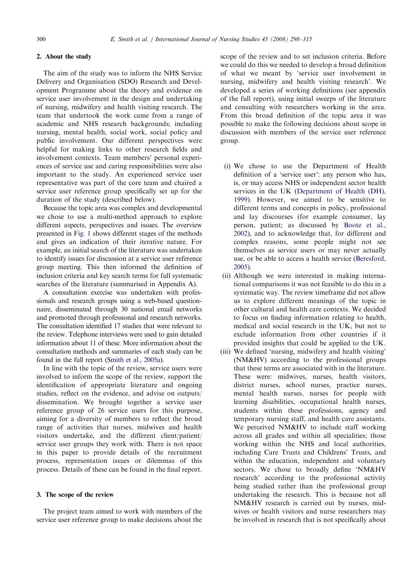#### 2. About the study

The aim of the study was to inform the NHS Service Delivery and Organisation (SDO) Research and Development Programme about the theory and evidence on service user involvement in the design and undertaking of nursing, midwifery and health visiting research. The team that undertook the work came from a range of academic and NHS research backgrounds; including nursing, mental health, social work, social policy and public involvement. Our different perspectives were helpful for making links to other research fields and involvement contexts. Team members' personal experiences of service use and caring responsibilities were also important to the study. An experienced service user representative was part of the core team and chaired a service user reference group specifically set up for the duration of the study (described below).

Because the topic area was complex and developmental we chose to use a multi-method approach to explore different aspects, perspectives and issues. The overview presented in [Fig. 1](#page-3-0) shows different stages of the methods and gives an indication of their iterative nature. For example, an initial search of the literature was undertaken to identify issues for discussion at a service user reference group meeting. This then informed the definition of inclusion criteria and key search terms for full systematic searches of the literature (summarised in Appendix A).

A consultation exercise was undertaken with professionals and research groups using a web-based questionnaire, disseminated through 30 national email networks and promoted through professional and research networks. The consultation identified 17 studies that were relevant to the review. Telephone interviews were used to gain detailed information about 11 of these. More information about the consultation methods and summaries of each study can be found in the full report [\(Smith et al., 2005a](#page-17-0)).

In line with the topic of the review, service users were involved to inform the scope of the review, support the identification of appropriate literature and ongoing studies, reflect on the evidence, and advise on outputs/ dissemination. We brought together a service user reference group of 26 service users for this purpose, aiming for a diversity of members to reflect the broad range of activities that nurses, midwives and health visitors undertake, and the different client/patient/ service user groups they work with. There is not space in this paper to provide details of the recruitment process, representation issues or dilemmas of this process. Details of these can be found in the final report.

# 3. The scope of the review

The project team aimed to work with members of the service user reference group to make decisions about the scope of the review and to set inclusion criteria. Before we could do this we needed to develop a broad definition of what we meant by 'service user involvement in nursing, midwifery and health visiting research'. We developed a series of working definitions (see appendix of the full report), using initial sweeps of the literature and consulting with researchers working in the area. From this broad definition of the topic area it was possible to make the following decisions about scope in discussion with members of the service user reference group.

- (i) We chose to use the Department of Health definition of a 'service user': any person who has, is, or may access NHS or independent sector health services in the UK ([Department of Health \(DH\),](#page-15-0) [1999\)](#page-15-0). However, we aimed to be sensitive to different terms and concepts in policy, professional and lay discourses (for example consumer, lay person, patient; as discussed by [Boote et al.,](#page-15-0) [2002\)](#page-15-0), and to acknowledge that, for different and complex reasons, some people might not see themselves as service users or may never actually use, or be able to access a health service [\(Beresford,](#page-15-0) [2005\)](#page-15-0).
- (ii) Although we were interested in making international comparisons it was not feasible to do this in a systematic way. The review timeframe did not allow us to explore different meanings of the topic in other cultural and health care contexts. We decided to focus on finding information relating to health, medical and social research in the UK, but not to exclude information from other countries if it provided insights that could be applied to the UK.
- (iii) We defined 'nursing, midwifery and health visiting' (NM&HV) according to the professional groups that these terms are associated with in the literature. These were: midwives, nurses, health visitors, district nurses, school nurses, practice nurses, mental health nurses, nurses for people with learning disabilities, occupational health nurses, students within these professions, agency and temporary nursing staff, and health care assistants. We perceived NM&HV to include staff working across all grades and within all specialities; those working within the NHS and local authorities, including Care Trusts and Childrens' Trusts, and within the education, independent and voluntary sectors. We chose to broadly define 'NM&HV research' according to the professional activity being studied rather than the professional group undertaking the research. This is because not all NM&HV research is carried out by nurses, midwives or health visitors and nurse researchers may be involved in research that is not specifically about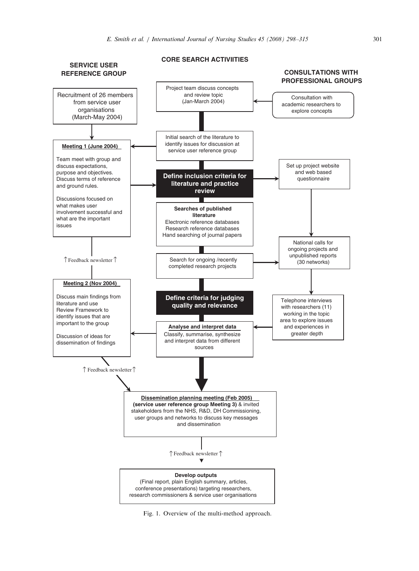<span id="page-3-0"></span>

Fig. 1. Overview of the multi-method approach.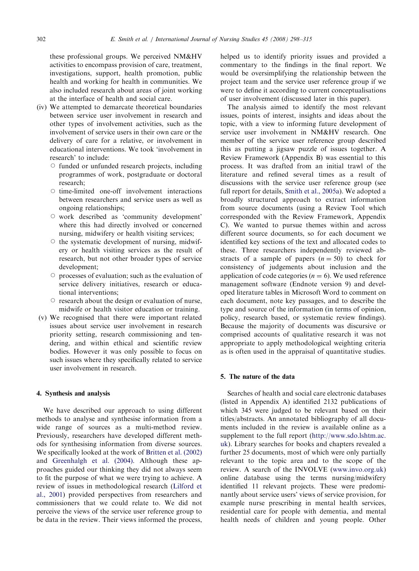these professional groups. We perceived NM&HV activities to encompass provision of care, treatment, investigations, support, health promotion, public health and working for health in communities. We also included research about areas of joint working at the interface of health and social care.

- (iv) We attempted to demarcate theoretical boundaries between service user involvement in research and other types of involvement activities, such as the involvement of service users in their own care or the delivery of care for a relative, or involvement in educational interventions. We took 'involvement in research' to include:
	- $\circ$  funded or unfunded research projects, including programmes of work, postgraduate or doctoral research;
	- $\circ$  time-limited one-off involvement interactions between researchers and service users as well as ongoing relationships;
	- $\circ$  work described as 'community development' where this had directly involved or concerned nursing, midwifery or health visiting services;
	- $\circ$  the systematic development of nursing, midwifery or health visiting services as the result of research, but not other broader types of service development;
	- $\circ$  processes of evaluation; such as the evaluation of service delivery initiatives, research or educational interventions;
	- $\circ$  research about the design or evaluation of nurse. midwife or health visitor education or training.
- (v) We recognised that there were important related issues about service user involvement in research priority setting, research commissioning and tendering, and within ethical and scientific review bodies. However it was only possible to focus on such issues where they specifically related to service user involvement in research.

#### 4. Synthesis and analysis

We have described our approach to using different methods to analyse and synthesise information from a wide range of sources as a multi-method review. Previously, researchers have developed different methods for synthesising information from diverse sources. We specifically looked at the work of [Britten et al. \(2002\)](#page-15-0) and [Greenhalgh et al. \(2004\).](#page-16-0) Although these approaches guided our thinking they did not always seem to fit the purpose of what we were trying to achieve. A review of issues in methodological research ([Lilford et](#page-16-0) [al., 2001\)](#page-16-0) provided perspectives from researchers and commissioners that we could relate to. We did not perceive the views of the service user reference group to be data in the review. Their views informed the process, helped us to identify priority issues and provided a commentary to the findings in the final report. We would be oversimplifying the relationship between the project team and the service user reference group if we were to define it according to current conceptualisations of user involvement (discussed later in this paper).

The analysis aimed to identify the most relevant issues, points of interest, insights and ideas about the topic, with a view to informing future development of service user involvement in NM&HV research. One member of the service user reference group described this as putting a jigsaw puzzle of issues together. A Review Framework (Appendix B) was essential to this process. It was drafted from an initial trawl of the literature and refined several times as a result of discussions with the service user reference group (see full report for details, [Smith et al., 2005a](#page-17-0)). We adopted a broadly structured approach to extract information from source documents (using a Review Tool which corresponded with the Review Framework, Appendix C). We wanted to pursue themes within and across different source documents, so for each document we identified key sections of the text and allocated codes to these. Three researchers independently reviewed abstracts of a sample of papers  $(n = 50)$  to check for consistency of judgements about inclusion and the application of code categories ( $n = 6$ ). We used reference management software (Endnote version 9) and developed literature tables in Microsoft Word to comment on each document, note key passages, and to describe the type and source of the information (in terms of opinion, policy, research based, or systematic review findings). Because the majority of documents was discursive or comprised accounts of qualitative research it was not appropriate to apply methodological weighting criteria as is often used in the appraisal of quantitative studies.

#### 5. The nature of the data

Searches of health and social care electronic databases (listed in Appendix A) identified 2132 publications of which 345 were judged to be relevant based on their titles/abstracts. An annotated bibliography of all documents included in the review is available online as a supplement to the full report [\(http://www.sdo.lshtm.ac.](http://www.sdo.lshtm.ac.uk) [uk](http://www.sdo.lshtm.ac.uk)). Library searches for books and chapters revealed a further 25 documents, most of which were only partially relevant to the topic area and to the scope of the review. A search of the INVOLVE ([www.invo.org.uk\)](http://www.invo.org.uk) online database using the terms nursing/midwifery identified 11 relevant projects. These were predominantly about service users' views of service provision, for example nurse prescribing in mental health services, residential care for people with dementia, and mental health needs of children and young people. Other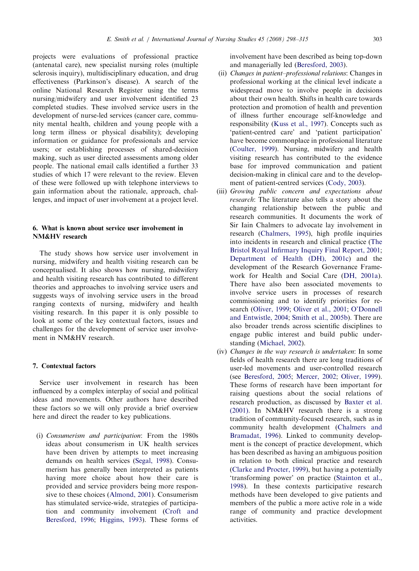projects were evaluations of professional practice (antenatal care), new specialist nursing roles (multiple sclerosis inquiry), multidisciplinary education, and drug effectiveness (Parkinson's disease). A search of the online National Research Register using the terms nursing/midwifery and user involvement identified 23 completed studies. These involved service users in the development of nurse-led services (cancer care, community mental health, children and young people with a long term illness or physical disability); developing information or guidance for professionals and service users; or establishing processes of shared-decision making, such as user directed assessments among older people. The national email calls identified a further 33 studies of which 17 were relevant to the review. Eleven of these were followed up with telephone interviews to gain information about the rationale, approach, challenges, and impact of user involvement at a project level.

#### 6. What is known about service user involvement in NM&HV research

The study shows how service user involvement in nursing, midwifery and health visiting research can be conceptualised. It also shows how nursing, midwifery and health visiting research has contributed to different theories and approaches to involving service users and suggests ways of involving service users in the broad ranging contexts of nursing, midwifery and health visiting research. In this paper it is only possible to look at some of the key contextual factors, issues and challenges for the development of service user involvement in NM&HV research.

# 7. Contextual factors

Service user involvement in research has been influenced by a complex interplay of social and political ideas and movements. Other authors have described these factors so we will only provide a brief overview here and direct the reader to key publications.

(i) Consumerism and participation: From the 1980s ideas about consumerism in UK health services have been driven by attempts to meet increasing demands on health services ([Segal, 1998](#page-17-0)). Consumerism has generally been interpreted as patients having more choice about how their care is provided and service providers being more responsive to these choices [\(Almond, 2001\)](#page-15-0). Consumerism has stimulated service-wide, strategies of participation and community involvement ([Croft and](#page-15-0) [Beresford, 1996](#page-15-0); [Higgins, 1993\)](#page-16-0). These forms of involvement have been described as being top-down and managerially led ([Beresford, 2003](#page-15-0)).

- (ii) Changes in patient–professional relations: Changes in professional working at the clinical level indicate a widespread move to involve people in decisions about their own health. Shifts in health care towards protection and promotion of health and prevention of illness further encourage self-knowledge and responsibility ([Kuss et al., 1997](#page-16-0)). Concepts such as 'patient-centred care' and 'patient participation' have become commonplace in professional literature ([Coulter, 1999](#page-15-0)). Nursing, midwifery and health visiting research has contributed to the evidence base for improved communication and patient decision-making in clinical care and to the development of patient-centred services ([Cody, 2003](#page-15-0)).
- (iii) Growing public concern and expectations about research: The literature also tells a story about the changing relationship between the public and research communities. It documents the work of Sir Iain Chalmers to advocate lay involvement in research ([Chalmers, 1995\)](#page-15-0), high profile inquiries into incidents in research and clinical practice ([The](#page-17-0) [Bristol Royal Infirmary Inquiry Final Report, 2001](#page-17-0); [Department of Health \(DH\), 2001c](#page-15-0)) and the development of the Research Governance Framework for Health and Social Care ([DH, 2001a](#page-15-0)). There have also been associated movements to involve service users in processes of research commissioning and to identify priorities for research [\(Oliver, 1999](#page-17-0); [Oliver et al., 2001;](#page-17-0) [O'Donnell](#page-17-0) [and Entwistle, 2004;](#page-17-0) [Smith et al., 2005b\)](#page-17-0). There are also broader trends across scientific disciplines to engage public interest and build public understanding ([Michael, 2002\)](#page-16-0).
- (iv) Changes in the way research is undertaken: In some fields of health research there are long traditions of user-led movements and user-controlled research (see [Beresford, 2005;](#page-15-0) [Mercer, 2002;](#page-16-0) [Oliver, 1999](#page-17-0)). These forms of research have been important for raising questions about the social relations of research production, as discussed by [Baxter et al.](#page-15-0) [\(2001\).](#page-15-0) In NM&HV research there is a strong tradition of community-focused research, such as in community health development ([Chalmers and](#page-15-0) [Bramadat, 1996\)](#page-15-0). Linked to community development is the concept of practice development, which has been described as having an ambiguous position in relation to both clinical practice and research ([Clarke and Procter, 1999\)](#page-15-0), but having a potentially 'transforming power' on practice [\(Stainton et al.,](#page-17-0) [1998\)](#page-17-0). In these contexts participative research methods have been developed to give patients and members of the public a more active role in a wide range of community and practice development activities.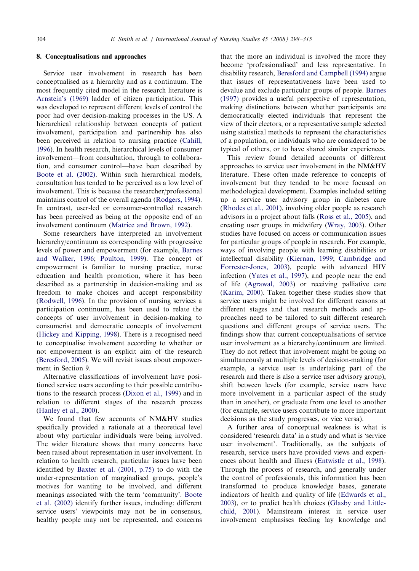#### 8. Conceptualisations and approaches

Service user involvement in research has been conceptualised as a hierarchy and as a continuum. The most frequently cited model in the research literature is [Arnstein's \(1969\)](#page-15-0) ladder of citizen participation. This was developed to represent different levels of control the poor had over decision-making processes in the US. A hierarchical relationship between concepts of patient involvement, participation and partnership has also been perceived in relation to nursing practice [\(Cahill,](#page-15-0) [1996](#page-15-0)). In health research, hierarchical levels of consumer involvement—from consultation, through to collaboration, and consumer control—have been described by [Boote et al. \(2002\).](#page-15-0) Within such hierarchical models, consultation has tended to be perceived as a low level of involvement. This is because the researcher/professional maintains control of the overall agenda [\(Rodgers, 1994](#page-17-0)). In contrast, user-led or consumer-controlled research has been perceived as being at the opposite end of an involvement continuum ([Matrice and Brown, 1992](#page-16-0)).

Some researchers have interpreted an involvement hierarchy/continuum as corresponding with progressive levels of power and empowerment (for example, [Barnes](#page-15-0) [and Walker, 1996](#page-15-0); [Poulton, 1999](#page-17-0)). The concept of empowerment is familiar to nursing practice, nurse education and health promotion, where it has been described as a partnership in decision-making and as freedom to make choices and accept responsibility [\(Rodwell, 1996](#page-17-0)). In the provision of nursing services a participation continuum, has been used to relate the concepts of user involvement in decision-making to consumerist and democratic concepts of involvement [\(Hickey and Kipping, 1998](#page-16-0)). There is a recognised need to conceptualise involvement according to whether or not empowerment is an explicit aim of the research [\(Beresford, 2005](#page-15-0)). We will revisit issues about empowerment in Section 9.

Alternative classifications of involvement have positioned service users according to their possible contributions to the research process ([Dixon et al., 1999](#page-15-0)) and in relation to different stages of the research process [\(Hanley et al., 2000\)](#page-16-0).

We found that few accounts of NM&HV studies specifically provided a rationale at a theoretical level about why particular individuals were being involved. The wider literature shows that many concerns have been raised about representation in user involvement. In relation to health research, particular issues have been identified by [Baxter et al. \(2001, p.75\)](#page-15-0) to do with the under-representation of marginalised groups, people's motives for wanting to be involved, and different meanings associated with the term 'community'. [Boote](#page-15-0) [et al. \(2002\)](#page-15-0) identify further issues, including: different service users' viewpoints may not be in consensus, healthy people may not be represented, and concerns that the more an individual is involved the more they become 'professionalised' and less representative. In disability research, [Beresford and Campbell \(1994\)](#page-15-0) argue that issues of representativeness have been used to devalue and exclude particular groups of people. [Barnes](#page-15-0) [\(1997\)](#page-15-0) provides a useful perspective of representation, making distinctions between whether participants are democratically elected individuals that represent the view of their electors, or a representative sample selected using statistical methods to represent the characteristics of a population, or individuals who are considered to be typical of others, or to have shared similar experiences.

This review found detailed accounts of different approaches to service user involvement in the NM&HV literature. These often made reference to concepts of involvement but they tended to be more focused on methodological development. Examples included setting up a service user advisory group in diabetes care ([Rhodes et al., 2001](#page-17-0)), involving older people as research advisors in a project about falls [\(Ross et al., 2005](#page-17-0)), and creating user groups in midwifery [\(Wray, 2003\)](#page-17-0). Other studies have focused on access or communication issues for particular groups of people in research. For example, ways of involving people with learning disabilities or intellectual disability [\(Kiernan, 1999;](#page-16-0) [Cambridge and](#page-15-0) [Forrester-Jones, 2003\)](#page-15-0), people with advanced HIV infection ([Yates et al., 1997](#page-17-0)), and people near the end of life ([Agrawal, 2003\)](#page-15-0) or receiving palliative care ([Karim, 2000\)](#page-16-0). Taken together these studies show that service users might be involved for different reasons at different stages and that research methods and approaches need to be tailored to suit different research questions and different groups of service users. The findings show that current conceptualisations of service user involvement as a hierarchy/continuum are limited. They do not reflect that involvement might be going on simultaneously at multiple levels of decision-making (for example, a service user is undertaking part of the research and there is also a service user advisory group), shift between levels (for example, service users have more involvement in a particular aspect of the study than in another), or graduate from one level to another (for example, service users contribute to more important decisions as the study progresses, or vice versa).

A further area of conceptual weakness is what is considered 'research data' in a study and what is 'service user involvement'. Traditionally, as the subjects of research, service users have provided views and experiences about health and illness [\(Entwistle et al., 1998](#page-16-0)). Through the process of research, and generally under the control of professionals, this information has been transformed to produce knowledge bases, generate indicators of health and quality of life ([Edwards et al.,](#page-16-0) [2003](#page-16-0)), or to predict health choices [\(Glasby and Little](#page-16-0)[child, 2001](#page-16-0)). Mainstream interest in service user involvement emphasises feeding lay knowledge and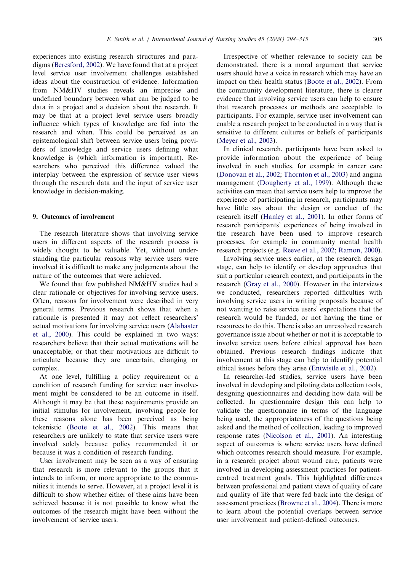experiences into existing research structures and paradigms [\(Beresford, 2002\)](#page-15-0). We have found that at a project level service user involvement challenges established ideas about the construction of evidence. Information from NM&HV studies reveals an imprecise and undefined boundary between what can be judged to be data in a project and a decision about the research. It may be that at a project level service users broadly influence which types of knowledge are fed into the research and when. This could be perceived as an epistemological shift between service users being providers of knowledge and service users defining what knowledge is (which information is important). Researchers who perceived this difference valued the interplay between the expression of service user views through the research data and the input of service user knowledge in decision-making.

## 9. Outcomes of involvement

The research literature shows that involving service users in different aspects of the research process is widely thought to be valuable. Yet, without understanding the particular reasons why service users were involved it is difficult to make any judgements about the nature of the outcomes that were achieved.

We found that few published NM&HV studies had a clear rationale or objectives for involving service users. Often, reasons for involvement were described in very general terms. Previous research shows that when a rationale is presented it may not reflect researchers' actual motivations for involving service users ([Alabaster](#page-15-0) [et al., 2000\)](#page-15-0). This could be explained in two ways: researchers believe that their actual motivations will be unacceptable; or that their motivations are difficult to articulate because they are uncertain, changing or complex.

At one level, fulfilling a policy requirement or a condition of research funding for service user involvement might be considered to be an outcome in itself. Although it may be that these requirements provide an initial stimulus for involvement, involving people for these reasons alone has been perceived as being tokenistic [\(Boote et al., 2002\)](#page-15-0). This means that researchers are unlikely to state that service users were involved solely because policy recommended it or because it was a condition of research funding.

User involvement may be seen as a way of ensuring that research is more relevant to the groups that it intends to inform, or more appropriate to the communities it intends to serve. However, at a project level it is difficult to show whether either of these aims have been achieved because it is not possible to know what the outcomes of the research might have been without the involvement of service users.

Irrespective of whether relevance to society can be demonstrated, there is a moral argument that service users should have a voice in research which may have an impact on their health status ([Boote et al., 2002\)](#page-15-0). From the community development literature, there is clearer evidence that involving service users can help to ensure that research processes or methods are acceptable to participants. For example, service user involvement can enable a research project to be conducted in a way that is sensitive to different cultures or beliefs of participants ([Meyer et al., 2003\)](#page-16-0).

In clinical research, participants have been asked to provide information about the experience of being involved in such studies, for example in cancer care ([Donovan et al., 2002](#page-15-0); [Thornton et al., 2003](#page-17-0)) and angina management [\(Dougherty et al., 1999\)](#page-15-0). Although these activities can mean that service users help to improve the experience of participating in research, participants may have little say about the design or conduct of the research itself ([Hanley et al., 2001](#page-16-0)). In other forms of research participants' experiences of being involved in the research have been used to improve research processes, for example in community mental health research projects (e.g. [Reeve et al., 2002;](#page-17-0) [Ramon, 2000](#page-17-0)).

Involving service users earlier, at the research design stage, can help to identify or develop approaches that suit a particular research context, and participants in the research ([Gray et al., 2000\)](#page-16-0). However in the interviews we conducted, researchers reported difficulties with involving service users in writing proposals because of not wanting to raise service users' expectations that the research would be funded, or not having the time or resources to do this. There is also an unresolved research governance issue about whether or not it is acceptable to involve service users before ethical approval has been obtained. Previous research findings indicate that involvement at this stage can help to identify potential ethical issues before they arise ([Entwistle et al., 2002\)](#page-16-0).

In researcher-led studies, service users have been involved in developing and piloting data collection tools, designing questionnaires and deciding how data will be collected. In questionnaire design this can help to validate the questionnaire in terms of the language being used, the appropriateness of the questions being asked and the method of collection, leading to improved response rates [\(Nicolson et al., 2001](#page-16-0)). An interesting aspect of outcomes is where service users have defined which outcomes research should measure. For example, in a research project about wound care, patients were involved in developing assessment practices for patientcentred treatment goals. This highlighted differences between professional and patient views of quality of care and quality of life that were fed back into the design of assessment practices [\(Browne et al., 2004\)](#page-15-0). There is more to learn about the potential overlaps between service user involvement and patient-defined outcomes.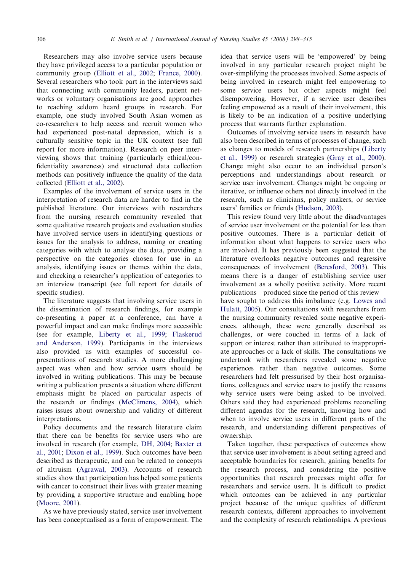Researchers may also involve service users because they have privileged access to a particular population or community group [\(Elliott et al., 2002](#page-16-0); [France, 2000](#page-16-0)). Several researchers who took part in the interviews said that connecting with community leaders, patient networks or voluntary organisations are good approaches to reaching seldom heard groups in research. For example, one study involved South Asian women as co-researchers to help access and recruit women who had experienced post-natal depression, which is a culturally sensitive topic in the UK context (see full report for more information). Research on peer interviewing shows that training (particularly ethical/confidentiality awareness) and structured data collection methods can positively influence the quality of the data collected ([Elliott et al., 2002\)](#page-16-0).

Examples of the involvement of service users in the interpretation of research data are harder to find in the published literature. Our interviews with researchers from the nursing research community revealed that some qualitative research projects and evaluation studies have involved service users in identifying questions or issues for the analysis to address, naming or creating categories with which to analyse the data, providing a perspective on the categories chosen for use in an analysis, identifying issues or themes within the data, and checking a researcher's application of categories to an interview transcript (see full report for details of specific studies).

The literature suggests that involving service users in the dissemination of research findings, for example co-presenting a paper at a conference, can have a powerful impact and can make findings more accessible (see for example, [Liberty et al., 1999;](#page-16-0) [Flaskerud](#page-16-0) [and Anderson, 1999](#page-16-0)). Participants in the interviews also provided us with examples of successful copresentations of research studies. A more challenging aspect was when and how service users should be involved in writing publications. This may be because writing a publication presents a situation where different emphasis might be placed on particular aspects of the research or findings ([McClimens, 2004](#page-16-0)), which raises issues about ownership and validity of different interpretations.

Policy documents and the research literature claim that there can be benefits for service users who are involved in research (for example, [DH, 2004;](#page-15-0) [Baxter et](#page-15-0) [al., 2001;](#page-15-0) [Dixon et al., 1999\)](#page-15-0). Such outcomes have been described as therapeutic, and can be related to concepts of altruism ([Agrawal, 2003](#page-15-0)). Accounts of research studies show that participation has helped some patients with cancer to construct their lives with greater meaning by providing a supportive structure and enabling hope [\(Moore, 2001\)](#page-16-0).

As we have previously stated, service user involvement has been conceptualised as a form of empowerment. The idea that service users will be 'empowered' by being involved in any particular research project might be over-simplifying the processes involved. Some aspects of being involved in research might feel empowering to some service users but other aspects might feel disempowering. However, if a service user describes feeling empowered as a result of their involvement, this is likely to be an indication of a positive underlying process that warrants further explanation.

Outcomes of involving service users in research have also been described in terms of processes of change, such as changes to models of research partnerships ([Liberty](#page-16-0) [et al., 1999\)](#page-16-0) or research strategies [\(Gray et al., 2000](#page-16-0)). Change might also occur to an individual person's perceptions and understandings about research or service user involvement. Changes might be ongoing or iterative, or influence others not directly involved in the research, such as clinicians, policy makers, or service users' families or friends [\(Hudson, 2003](#page-16-0)).

This review found very little about the disadvantages of service user involvement or the potential for less than positive outcomes. There is a particular deficit of information about what happens to service users who are involved. It has previously been suggested that the literature overlooks negative outcomes and regressive consequences of involvement [\(Beresford, 2003](#page-15-0)). This means there is a danger of establishing service user involvement as a wholly positive activity. More recent publications—produced since the period of this review have sought to address this imbalance (e.g. [Lowes and](#page-16-0) [Hulatt, 2005](#page-16-0)). Our consultations with researchers from the nursing community revealed some negative experiences, although, these were generally described as challenges, or were couched in terms of a lack of support or interest rather than attributed to inappropriate approaches or a lack of skills. The consultations we undertook with researchers revealed some negative experiences rather than negative outcomes. Some researchers had felt pressurised by their host organisations, colleagues and service users to justify the reasons why service users were being asked to be involved. Others said they had experienced problems reconciling different agendas for the research, knowing how and when to involve service users in different parts of the research, and understanding different perspectives of ownership.

Taken together, these perspectives of outcomes show that service user involvement is about setting agreed and acceptable boundaries for research, gaining benefits for the research process, and considering the positive opportunities that research processes might offer for researchers and service users. It is difficult to predict which outcomes can be achieved in any particular project because of the unique qualities of different research contexts, different approaches to involvement and the complexity of research relationships. A previous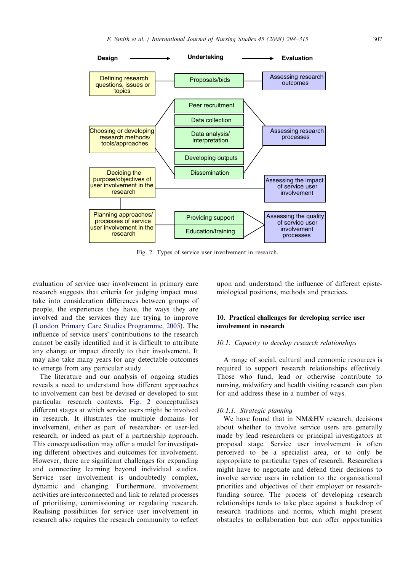

Fig. 2. Types of service user involvement in research.

evaluation of service user involvement in primary care research suggests that criteria for judging impact must take into consideration differences between groups of people, the experiences they have, the ways they are involved and the services they are trying to improve ([London Primary Care Studies Programme, 2005](#page-16-0)). The influence of service users' contributions to the research cannot be easily identified and it is difficult to attribute any change or impact directly to their involvement. It may also take many years for any detectable outcomes to emerge from any particular study.

The literature and our analysis of ongoing studies reveals a need to understand how different approaches to involvement can best be devised or developed to suit particular research contexts. Fig. 2 conceptualises different stages at which service users might be involved in research. It illustrates the multiple domains for involvement, either as part of researcher- or user-led research, or indeed as part of a partnership approach. This conceptualisation may offer a model for investigating different objectives and outcomes for involvement. However, there are significant challenges for expanding and connecting learning beyond individual studies. Service user involvement is undoubtedly complex, dynamic and changing. Furthermore, involvement activities are interconnected and link to related processes of prioritising, commissioning or regulating research. Realising possibilities for service user involvement in research also requires the research community to reflect

upon and understand the influence of different epistemiological positions, methods and practices.

# 10. Practical challenges for developing service user involvement in research

#### 10.1. Capacity to develop research relationships

A range of social, cultural and economic resources is required to support research relationships effectively. Those who fund, lead or otherwise contribute to nursing, midwifery and health visiting research can plan for and address these in a number of ways.

#### 10.1.1. Strategic planning

We have found that in NM&HV research, decisions about whether to involve service users are generally made by lead researchers or principal investigators at proposal stage. Service user involvement is often perceived to be a specialist area, or to only be appropriate to particular types of research. Researchers might have to negotiate and defend their decisions to involve service users in relation to the organisational priorities and objectives of their employer or researchfunding source. The process of developing research relationships tends to take place against a backdrop of research traditions and norms, which might present obstacles to collaboration but can offer opportunities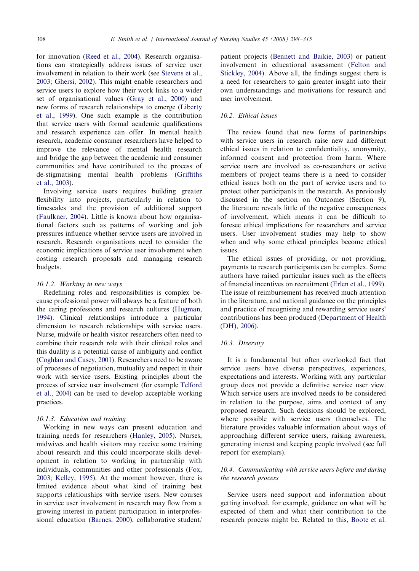for innovation [\(Reed et al., 2004\)](#page-17-0). Research organisations can strategically address issues of service user involvement in relation to their work (see [Stevens et al.,](#page-17-0) [2003](#page-17-0); [Ghersi, 2002](#page-16-0)). This might enable researchers and service users to explore how their work links to a wider set of organisational values [\(Gray et al., 2000](#page-16-0)) and new forms of research relationships to emerge [\(Liberty](#page-16-0) [et al., 1999\)](#page-16-0). One such example is the contribution that service users with formal academic qualifications and research experience can offer. In mental health research, academic consumer researchers have helped to improve the relevance of mental health research and bridge the gap between the academic and consumer communities and have contributed to the process of de-stigmatising mental health problems [\(Griffiths](#page-16-0) [et al., 2003](#page-16-0)).

Involving service users requires building greater flexibility into projects, particularly in relation to timescales and the provision of additional support [\(Faulkner, 2004](#page-16-0)). Little is known about how organisational factors such as patterns of working and job pressures influence whether service users are involved in research. Research organisations need to consider the economic implications of service user involvement when costing research proposals and managing research budgets.

#### 10.1.2. Working in new ways

Redefining roles and responsibilities is complex because professional power will always be a feature of both the caring professions and research cultures [\(Hugman,](#page-16-0) [1994](#page-16-0)). Clinical relationships introduce a particular dimension to research relationships with service users. Nurse, midwife or health visitor researchers often need to combine their research role with their clinical roles and this duality is a potential cause of ambiguity and conflict [\(Coghlan and Casey, 2001](#page-15-0)). Researchers need to be aware of processes of negotiation, mutuality and respect in their work with service users. Existing principles about the process of service user involvement (for example [Telford](#page-17-0) [et al., 2004](#page-17-0)) can be used to develop acceptable working practices.

#### 10.1.3. Education and training

Working in new ways can present education and training needs for researchers ([Hanley, 2005](#page-16-0)). Nurses, midwives and health visitors may receive some training about research and this could incorporate skills development in relation to working in partnership with individuals, communities and other professionals ([Fox,](#page-16-0) [2003](#page-16-0); [Kelley, 1995\)](#page-16-0). At the moment however, there is limited evidence about what kind of training best supports relationships with service users. New courses in service user involvement in research may flow from a growing interest in patient participation in interprofessional education [\(Barnes, 2000\)](#page-15-0), collaborative student/ patient projects ([Bennett and Baikie, 2003](#page-15-0)) or patient involvement in educational assessment ([Felton and](#page-16-0) [Stickley, 2004](#page-16-0)). Above all, the findings suggest there is a need for researchers to gain greater insight into their own understandings and motivations for research and user involvement.

# 10.2. Ethical issues

The review found that new forms of partnerships with service users in research raise new and different ethical issues in relation to confidentiality, anonymity, informed consent and protection from harm. Where service users are involved as co-researchers or active members of project teams there is a need to consider ethical issues both on the part of service users and to protect other participants in the research. As previously discussed in the section on Outcomes (Section 9), the literature reveals little of the negative consequences of involvement, which means it can be difficult to foresee ethical implications for researchers and service users. User involvement studies may help to show when and why some ethical principles become ethical issues.

The ethical issues of providing, or not providing, payments to research participants can be complex. Some authors have raised particular issues such as the effects of financial incentives on recruitment ([Erlen et al., 1999](#page-16-0)). The issue of reimbursement has received much attention in the literature, and national guidance on the principles and practice of recognising and rewarding service users' contributions has been produced ([Department of Health](#page-15-0) [\(DH\), 2006\)](#page-15-0).

# 10.3. Diversity

It is a fundamental but often overlooked fact that service users have diverse perspectives, experiences, expectations and interests. Working with any particular group does not provide a definitive service user view. Which service users are involved needs to be considered in relation to the purpose, aims and context of any proposed research. Such decisions should be explored, where possible with service users themselves. The literature provides valuable information about ways of approaching different service users, raising awareness, generating interest and keeping people involved (see full report for exemplars).

## 10.4. Communicating with service users before and during the research process

Service users need support and information about getting involved, for example, guidance on what will be expected of them and what their contribution to the research process might be. Related to this, [Boote et al.](#page-15-0)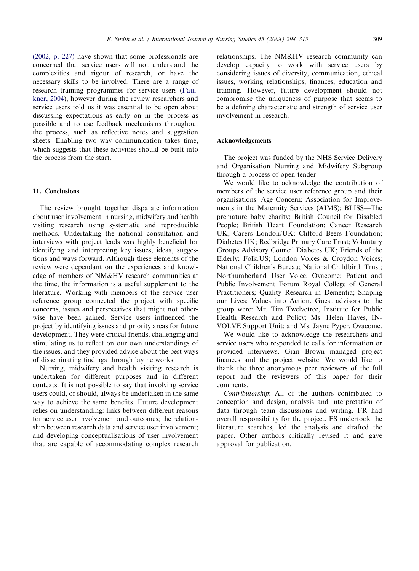[\(2002, p. 227\)](#page-15-0) have shown that some professionals are concerned that service users will not understand the complexities and rigour of research, or have the necessary skills to be involved. There are a range of research training programmes for service users ([Faul](#page-16-0)[kner, 2004](#page-16-0)), however during the review researchers and service users told us it was essential to be open about discussing expectations as early on in the process as possible and to use feedback mechanisms throughout the process, such as reflective notes and suggestion sheets. Enabling two way communication takes time, which suggests that these activities should be built into the process from the start.

# 11. Conclusions

The review brought together disparate information about user involvement in nursing, midwifery and health visiting research using systematic and reproducible methods. Undertaking the national consultation and interviews with project leads was highly beneficial for identifying and interpreting key issues, ideas, suggestions and ways forward. Although these elements of the review were dependant on the experiences and knowledge of members of NM&HV research communities at the time, the information is a useful supplement to the literature. Working with members of the service user reference group connected the project with specific concerns, issues and perspectives that might not otherwise have been gained. Service users influenced the project by identifying issues and priority areas for future development. They were critical friends, challenging and stimulating us to reflect on our own understandings of the issues, and they provided advice about the best ways of disseminating findings through lay networks.

Nursing, midwifery and health visiting research is undertaken for different purposes and in different contexts. It is not possible to say that involving service users could, or should, always be undertaken in the same way to achieve the same benefits. Future development relies on understanding: links between different reasons for service user involvement and outcomes; the relationship between research data and service user involvement; and developing conceptualisations of user involvement that are capable of accommodating complex research relationships. The NM&HV research community can develop capacity to work with service users by considering issues of diversity, communication, ethical issues, working relationships, finances, education and training. However, future development should not compromise the uniqueness of purpose that seems to be a defining characteristic and strength of service user involvement in research.

#### Acknowledgements

The project was funded by the NHS Service Delivery and Organisation Nursing and Midwifery Subgroup through a process of open tender.

We would like to acknowledge the contribution of members of the service user reference group and their organisations: Age Concern; Association for Improvements in the Maternity Services (AIMS); BLISS—The premature baby charity; British Council for Disabled People; British Heart Foundation; Cancer Research UK; Carers London/UK; Clifford Beers Foundation; Diabetes UK; Redbridge Primary Care Trust; Voluntary Groups Advisory Council Diabetes UK; Friends of the Elderly; Folk.US; London Voices & Croydon Voices; National Children's Bureau; National Childbirth Trust; Northumberland User Voice; Ovacome; Patient and Public Involvement Forum Royal College of General Practitioners; Quality Research in Dementia; Shaping our Lives; Values into Action. Guest advisors to the group were: Mr. Tim Twelvetree, Institute for Public Health Research and Policy; Ms. Helen Hayes, IN-VOLVE Support Unit; and Ms. Jayne Pyper, Ovacome.

We would like to acknowledge the researchers and service users who responded to calls for information or provided interviews. Gian Brown managed project finances and the project website. We would like to thank the three anonymous peer reviewers of the full report and the reviewers of this paper for their comments.

Contributorship: All of the authors contributed to conception and design, analysis and interpretation of data through team discussions and writing. FR had overall responsibility for the project. ES undertook the literature searches, led the analysis and drafted the paper. Other authors critically revised it and gave approval for publication.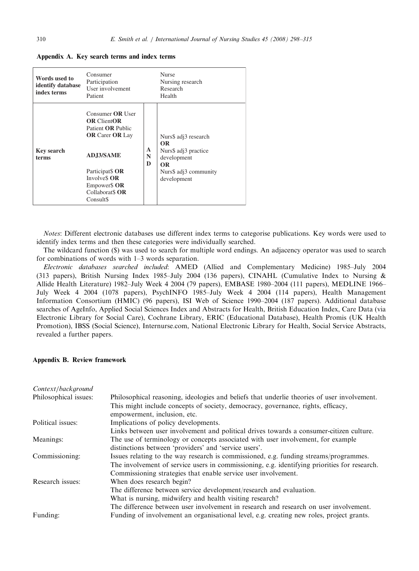Appendix A. Key search terms and index terms

| Words used to<br>identify database<br>index terms | Consumer<br>Participation<br>User involvement<br>Patient                                                                                                                                                                                 |             | <b>Nurse</b><br>Nursing research<br>Research<br>Health                                                                        |
|---------------------------------------------------|------------------------------------------------------------------------------------------------------------------------------------------------------------------------------------------------------------------------------------------|-------------|-------------------------------------------------------------------------------------------------------------------------------|
| <b>Key search</b><br>terms                        | Consumer <b>OR</b> User<br><b>OR ClientOR</b><br>Patient <b>OR</b> Public<br><b>OR</b> Carer <b>OR</b> Lay<br><b>ADJ3/SAME</b><br>Participat <sub>\$</sub> OR<br>Involve\$ OR<br>Empower\$ OR<br>Collaborat <sub>S</sub> OR<br>Consult\$ | A<br>N<br>D | Nurs\$ adj3 research<br><b>OR</b><br>Nurs\$ adj3 practice<br>development<br><b>OR</b><br>Nurs\$ adj3 community<br>development |

Notes: Different electronic databases use different index terms to categorise publications. Key words were used to identify index terms and then these categories were individually searched.

The wildcard function (\$) was used to search for multiple word endings. An adjacency operator was used to search for combinations of words with 1–3 words separation.

Electronic databases searched included: AMED (Allied and Complementary Medicine) 1985–July 2004 (313 papers), British Nursing Index 1985–July 2004 (136 papers), CINAHL (Cumulative Index to Nursing & Allide Health Literature) 1982–July Week 4 2004 (79 papers), EMBASE 1980–2004 (111 papers), MEDLINE 1966– July Week 4 2004 (1078 papers), PsychINFO 1985–July Week 4 2004 (114 papers), Health Management Information Consortium (HMIC) (96 papers), ISI Web of Science 1990–2004 (187 papers). Additional database searches of AgeInfo, Applied Social Sciences Index and Abstracts for Health, British Education Index, Care Data (via Electronic Library for Social Care), Cochrane Library, ERIC (Educational Database), Health Promis (UK Health Promotion), IBSS (Social Science), Internurse.com, National Electronic Library for Health, Social Service Abstracts, revealed a further papers.

#### Appendix B. Review framework

| Context/background    |                                                                                                                  |
|-----------------------|------------------------------------------------------------------------------------------------------------------|
| Philosophical issues: | Philosophical reasoning, ideologies and beliefs that underlie theories of user involvement.                      |
|                       | This might include concepts of society, democracy, governance, rights, efficacy,<br>empowerment, inclusion, etc. |
| Political issues:     | Implications of policy developments.                                                                             |
|                       | Links between user involvement and political drives towards a consumer-citizen culture.                          |
| Meanings:             | The use of terminology or concepts associated with user involvement, for example                                 |
|                       | distinctions between 'providers' and 'service users'.                                                            |
| Commissioning:        | Issues relating to the way research is commissioned, e.g. funding streams/programmes.                            |
|                       | The involvement of service users in commissioning, e.g. identifying priorities for research.                     |
|                       | Commissioning strategies that enable service user involvement.                                                   |
| Research issues:      | When does research begin?                                                                                        |
|                       | The difference between service development/research and evaluation.                                              |
|                       | What is nursing, midwifery and health visiting research?                                                         |
|                       | The difference between user involvement in research and research on user involvement.                            |
| Funding:              | Funding of involvement an organisational level, e.g. creating new roles, project grants.                         |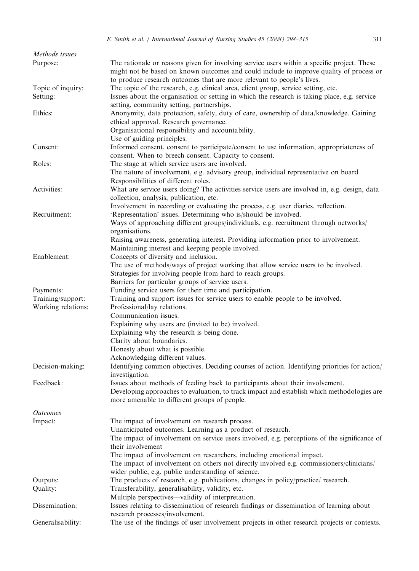| Methods issues     |                                                                                                                                                                                                                                                                  |
|--------------------|------------------------------------------------------------------------------------------------------------------------------------------------------------------------------------------------------------------------------------------------------------------|
| Purpose:           | The rationale or reasons given for involving service users within a specific project. These<br>might not be based on known outcomes and could include to improve quality of process or<br>to produce research outcomes that are more relevant to people's lives. |
| Topic of inquiry:  | The topic of the research, e.g. clinical area, client group, service setting, etc.                                                                                                                                                                               |
| Setting:           | Issues about the organisation or setting in which the research is taking place, e.g. service                                                                                                                                                                     |
|                    | setting, community setting, partnerships.                                                                                                                                                                                                                        |
| Ethics:            | Anonymity, data protection, safety, duty of care, ownership of data/knowledge. Gaining                                                                                                                                                                           |
|                    | ethical approval. Research governance.                                                                                                                                                                                                                           |
|                    | Organisational responsibility and accountability.                                                                                                                                                                                                                |
|                    | Use of guiding principles.                                                                                                                                                                                                                                       |
| Consent:           | Informed consent, consent to participate/consent to use information, appropriateness of                                                                                                                                                                          |
|                    | consent. When to breech consent. Capacity to consent.                                                                                                                                                                                                            |
| Roles:             | The stage at which service users are involved.                                                                                                                                                                                                                   |
|                    | The nature of involvement, e.g. advisory group, individual representative on board                                                                                                                                                                               |
|                    | Responsibilities of different roles.                                                                                                                                                                                                                             |
| Activities:        | What are service users doing? The activities service users are involved in, e.g. design, data                                                                                                                                                                    |
|                    | collection, analysis, publication, etc.                                                                                                                                                                                                                          |
| Recruitment:       | Involvement in recording or evaluating the process, e.g. user diaries, reflection.<br>'Representation' issues. Determining who is/should be involved.                                                                                                            |
|                    | Ways of approaching different groups/individuals, e.g. recruitment through networks/                                                                                                                                                                             |
|                    | organisations.                                                                                                                                                                                                                                                   |
|                    | Raising awareness, generating interest. Providing information prior to involvement.                                                                                                                                                                              |
|                    | Maintaining interest and keeping people involved.                                                                                                                                                                                                                |
| Enablement:        | Concepts of diversity and inclusion.                                                                                                                                                                                                                             |
|                    | The use of methods/ways of project working that allow service users to be involved.                                                                                                                                                                              |
|                    | Strategies for involving people from hard to reach groups.                                                                                                                                                                                                       |
|                    | Barriers for particular groups of service users.                                                                                                                                                                                                                 |
| Payments:          | Funding service users for their time and participation.                                                                                                                                                                                                          |
| Training/support:  | Training and support issues for service users to enable people to be involved.                                                                                                                                                                                   |
| Working relations: | Professional/lay relations.                                                                                                                                                                                                                                      |
|                    | Communication issues.                                                                                                                                                                                                                                            |
|                    | Explaining why users are (invited to be) involved.                                                                                                                                                                                                               |
|                    | Explaining why the research is being done.                                                                                                                                                                                                                       |
|                    | Clarity about boundaries.                                                                                                                                                                                                                                        |
|                    | Honesty about what is possible.                                                                                                                                                                                                                                  |
|                    | Acknowledging different values.                                                                                                                                                                                                                                  |
| Decision-making:   | Identifying common objectives. Deciding courses of action. Identifying priorities for action/                                                                                                                                                                    |
|                    | investigation.                                                                                                                                                                                                                                                   |
| Feedback:          | Issues about methods of feeding back to participants about their involvement.                                                                                                                                                                                    |
|                    | Developing approaches to evaluation, to track impact and establish which methodologies are                                                                                                                                                                       |
|                    | more amenable to different groups of people.                                                                                                                                                                                                                     |
| <i>Outcomes</i>    |                                                                                                                                                                                                                                                                  |
| Impact:            | The impact of involvement on research process.                                                                                                                                                                                                                   |
|                    | Unanticipated outcomes. Learning as a product of research.                                                                                                                                                                                                       |
|                    | The impact of involvement on service users involved, e.g. perceptions of the significance of                                                                                                                                                                     |
|                    | their involvement                                                                                                                                                                                                                                                |
|                    | The impact of involvement on researchers, including emotional impact.                                                                                                                                                                                            |
|                    | The impact of involvement on others not directly involved e.g. commissioners/clinicians/                                                                                                                                                                         |
|                    | wider public, e.g. public understanding of science.                                                                                                                                                                                                              |
| Outputs:           | The products of research, e.g. publications, changes in policy/practice/ research.                                                                                                                                                                               |
| Quality:           | Transferability, generalisability, validity, etc.                                                                                                                                                                                                                |
|                    | Multiple perspectives—validity of interpretation.                                                                                                                                                                                                                |
| Dissemination:     | Issues relating to dissemination of research findings or dissemination of learning about                                                                                                                                                                         |
|                    | research processes/involvement.                                                                                                                                                                                                                                  |
| Generalisability:  | The use of the findings of user involvement projects in other research projects or contexts.                                                                                                                                                                     |
|                    |                                                                                                                                                                                                                                                                  |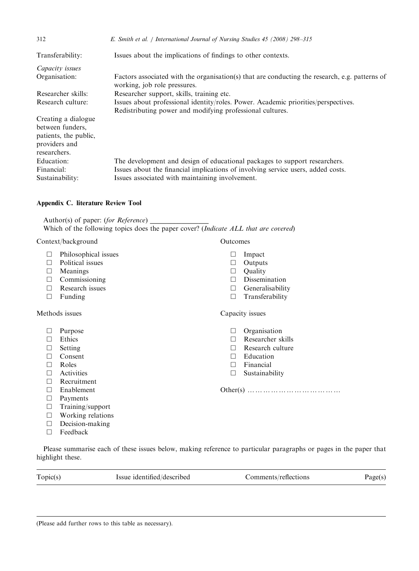| 312                                                                                               | E. Smith et al. / International Journal of Nursing Studies 45 (2008) 298-315                                                                                                                                      |
|---------------------------------------------------------------------------------------------------|-------------------------------------------------------------------------------------------------------------------------------------------------------------------------------------------------------------------|
| Transferability:                                                                                  | Issues about the implications of findings to other contexts.                                                                                                                                                      |
| Capacity issues                                                                                   |                                                                                                                                                                                                                   |
| Organisation:                                                                                     | Factors associated with the organisation(s) that are conducting the research, e.g. patterns of<br>working, job role pressures.                                                                                    |
| Researcher skills:                                                                                | Researcher support, skills, training etc.                                                                                                                                                                         |
| Research culture:                                                                                 | Issues about professional identity/roles. Power. Academic priorities/perspectives.<br>Redistributing power and modifying professional cultures.                                                                   |
| Creating a dialogue<br>between funders,<br>patients, the public,<br>providers and<br>researchers. |                                                                                                                                                                                                                   |
| Education:<br>Financial:<br>Sustainability:                                                       | The development and design of educational packages to support researchers.<br>Issues about the financial implications of involving service users, added costs.<br>Issues associated with maintaining involvement. |

# Appendix C. literature Review Tool

Author(s) of paper: (for Reference) Which of the following topics does the paper cover? (Indicate ALL that are covered)

# Context/background Outcomes

- $\Box$  Philosophical issues
- $\Box$  Political issues
- $\Box$  Meanings
- $\Box$  Commissioning
- $\Box$  Research issues
- $\square$  Funding

# Methods issues

- $\Box$  Purpose
- $\Box$  Ethics
- $\square$  Setting
- $\Box$  Consent
- $\Box$  Roles
- $\Box$  Activities
- $\Box$  Recruitment
- □ Enablement
- $\square$  Payments
- $\Box$  Training/support
- $\Box$  Working relations  $\Box$  Decision-making
- 
- $\Box$  Feedback

Please summarise each of these issues below, making reference to particular paragraphs or pages in the paper that highlight these.

Topic(s) Issue identified/described Comments/reflections Page(s)

#### (Please add further rows to this table as necessary).

- $\Box$  Impact
- 
- $\Box$  Quality
- $\square$  Dissemination
- 
- 

# Capacity issues

- $\Box$  Organisation
- $\Box$  Researcher skills
- $\Box$  Research culture
- $\Box$  Education
- $\square$  Financial
- $\square$  Sustainability

Other(s) yyyyyyyyyyyy

- $\Box$  Outputs
	-
	- $\Box$  Generalisability
	- $\square$  Transferability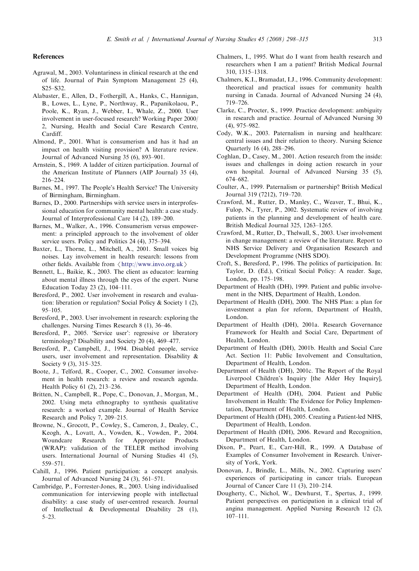#### <span id="page-15-0"></span>References

- Agrawal, M., 2003. Voluntariness in clinical research at the end of life. Journal of Pain Symptom Management 25 (4), S25–S32.
- Alabaster, E., Allen, D., Fothergill, A., Hanks, C., Hannigan, B., Lowes, L., Lyne, P., Northway, R., Papanikolaou, P., Poole, K., Ryan, J., Webber, I., Whale, Z., 2000. User involvement in user-focused research? Working Paper 2000/ 2, Nursing, Health and Social Care Research Centre, Cardiff.
- Almond, P., 2001. What is consumerism and has it had an impact on health visiting provision? A literature review. Journal of Advanced Nursing 35 (6), 893–901.
- Arnstein, S., 1969. A ladder of citizen participation. Journal of the American Institute of Planners (AIP Journal) 35 (4), 216–224.
- Barnes, M., 1997. The People's Health Service? The University of Birmingham, Birmingham.
- Barnes, D., 2000. Partnerships with service users in interprofessional education for community mental health: a case study. Journal of Interprofessional Care 14 (2), 189–200.
- Barnes, M., Walker, A., 1996. Consumerism versus empowerment: a principled approach to the involvement of older service users. Policy and Politics 24 (4), 375–394.
- Baxter, L., Thorne, L., Mitchell, A., 2001. Small voices big noises. Lay involvement in health research: lessons from other fields. Available from  $\langle$  <http://www.invo.org.uk> $\rangle$
- Bennett, L., Baikie, K., 2003. The client as educator: learning about mental illness through the eyes of the expert. Nurse Education Today 23 (2), 104–111.
- Beresford, P., 2002. User involvement in research and evaluation: liberation or regulation? Social Policy & Society 1 (2), 95–105.
- Beresford, P., 2003. User involvement in research: exploring the challenges. Nursing Times Research 8 (1), 36–46.
- Beresford, P., 2005. 'Service user': regressive or liberatory terminology? Disability and Society 20 (4), 469–477.
- Beresford, P., Campbell, J., 1994. Disabled people, service users, user involvement and representation. Disability & Society 9 (3), 315–325.
- Boote, J., Telford, R., Cooper, C., 2002. Consumer involvement in health research: a review and research agenda. Health Policy 61 (2), 213–236.
- Britten, N., Campbell, R., Pope, C., Donovan, J., Morgan, M., 2002. Using meta ethnography to synthesis qualitative research: a worked example. Journal of Health Service Research and Policy 7, 209–215.
- Browne, N., Grocott, P., Cowley, S., Cameron, J., Dealey, C., Keogh, A., Lovatt, A., Vowden, K., Vowden, P., 2004. Woundcare Research for Appropriate Products (WRAP): validation of the TELER method involving users. International Journal of Nursing Studies 41 (5), 559–571.
- Cahill, J., 1996. Patient participation: a concept analysis. Journal of Advanced Nursing 24 (3), 561–571.
- Cambridge, P., Forrester-Jones, R., 2003. Using individualised communication for interviewing people with intellectual disability: a case study of user-centred research. Journal of Intellectual & Developmental Disability 28 (1), 5–23.
- Chalmers, I., 1995. What do I want from health research and researchers when I am a patient? British Medical Journal 310, 1315–1318.
- Chalmers, K.I., Bramadat, I.J., 1996. Community development: theoretical and practical issues for community health nursing in Canada. Journal of Advanced Nursing 24 (4), 719–726.
- Clarke, C., Procter, S., 1999. Practice development: ambiguity in research and practice. Journal of Advanced Nursing 30 (4), 975–982.
- Cody, W.K., 2003. Paternalism in nursing and healthcare: central issues and their relation to theory. Nursing Science Quarterly 16 (4), 288–296.
- Coghlan, D., Casey, M., 2001. Action research from the inside: issues and challenges in doing action research in your own hospital. Journal of Advanced Nursing 35 (5), 674–682.
- Coulter, A., 1999. Paternalism or partnership? British Medical Journal 319 (7212), 719–720.
- Crawford, M., Rutter, D., Manley, C., Weaver, T., Bhui, K., Fulop, N., Tyrer, P., 2002. Systematic review of involving patients in the planning and development of health care. British Medical Journal 325, 1263–1265.
- Crawford, M., Rutter, D., Thelwall, S., 2003. User involvement in change management: a review of the literature. Report to NHS Service Delivery and Organisation Research and Development Programme (NHS SDO).
- Croft, S., Beresford, P., 1996. The politics of participation. In: Taylor, D. (Ed.), Critical Social Policy: A reader. Sage, London, pp. 175–198.
- Department of Health (DH), 1999. Patient and public involvement in the NHS, Department of Health, London.
- Department of Health (DH), 2000. The NHS Plan: a plan for investment a plan for reform, Department of Health, London.
- Department of Health (DH), 2001a. Research Governance Framework for Health and Social Care, Department of Health, London.
- Department of Health (DH), 2001b. Health and Social Care Act. Section 11: Public Involvement and Consultation, Department of Health, London.
- Department of Health (DH), 2001c. The Report of the Royal Liverpool Children's Inquiry [the Alder Hey Inquiry], Department of Health, London.
- Department of Health (DH), 2004. Patient and Public Involvement in Health: The Evidence for Policy Implementation, Department of Health, London.
- Department of Health (DH), 2005. Creating a Patient-led NHS, Department of Health, London.
- Department of Health (DH), 2006. Reward and Recognition, Department of Health, London.
- Dixon, P., Peart, E., Carr-Hill, R., 1999. A Database of Examples of Consumer Involvement in Research. University of York, York.
- Donovan, J., Brindle, L., Mills, N., 2002. Capturing users' experiences of participating in cancer trials. European Journal of Cancer Care 11 (3), 210–214.
- Dougherty, C., Nichol, W., Dewhurst, T., Spertus, J., 1999. Patient perspectives on participation in a clinical trial of angina management. Applied Nursing Research 12 (2), 107–111.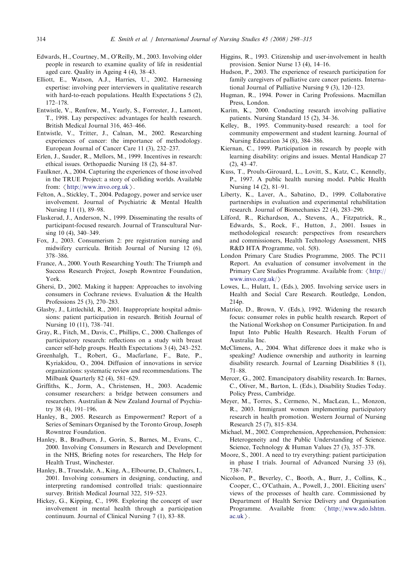- <span id="page-16-0"></span>Edwards, H., Courtney, M., O'Reilly, M., 2003. Involving older people in research to examine quality of life in residential aged care. Quality in Ageing 4 (4), 38–43.
- Elliott, E., Watson, A.J., Harries, U., 2002. Harnessing expertise: involving peer interviewers in qualitative research with hard-to-reach populations. Health Expectations 5 (2), 172–178.
- Entwistle, V., Renfrew, M., Yearly, S., Forrester, J., Lamont, T., 1998. Lay perspectives: advantages for health research. British Medical Journal 316, 463–466.
- Entwistle, V., Tritter, J., Calnan, M., 2002. Researching experiences of cancer: the importance of methodology. European Journal of Cancer Care 11 (3), 232–237.
- Erlen, J., Sauder, R., Mellors, M., 1999. Incentives in research: ethical issues. Orthopaedic Nursing 18 (2), 84–87.
- Faulkner, A., 2004. Capturing the experiences of those involved in the TRUE Project: a story of colliding worlds. Available from:  $\langle$  <http://www.invo.org.uk> $\rangle$ .
- Felton, A., Stickley, T., 2004. Pedagogy, power and service user involvement. Journal of Psychiatric & Mental Health Nursing 11 (1), 89–98.
- Flaskerud, J., Anderson, N., 1999. Disseminating the results of participant-focused research. Journal of Transcultural Nursing 10 (4), 340–349.
- Fox, J., 2003. Consumerism 2: pre registration nursing and midwifery curricula. British Journal of Nursing 12 (6), 378–386.
- France, A., 2000. Youth Researching Youth: The Triumph and Success Research Project, Joseph Rowntree Foundation, York.
- Ghersi, D., 2002. Making it happen: Approaches to involving consumers in Cochrane reviews. Evaluation & the Health Professions 25 (3), 270–283.
- Glasby, J., Littlechild, R., 2001. Inappropriate hospital admissions: patient participation in research. British Journal of Nursing 10 (11), 738–741.
- Gray, R., Fitch, M., Davis, C., Phillips, C., 2000. Challenges of participatory research: reflections on a study with breast cancer self-help groups. Health Expectations 3 (4), 243–252.
- Greenhalgh, T., Robert, G., Macfarlane, F., Bate, P., Kyriakidou, O., 2004. Diffusion of innovations in service organizations: systematic review and recommendations. The Milbank Quarterly 82 (4), 581–629.
- Griffiths, K., Jorm, A., Christensen, H., 2003. Academic consumer researchers: a bridge between consumers and researchers. Australian & New Zealand Journal of Psychiatry 38 (4), 191–196.
- Hanley, B., 2005. Research as Empowerment? Report of a Series of Seminars Organised by the Toronto Group, Joseph Rowntree Foundation.
- Hanley, B., Bradburn, J., Gorin, S., Barnes, M., Evans, C., 2000. Involving Consumers in Research and Development in the NHS, Briefing notes for researchers, The Help for Health Trust, Winchester.
- Hanley, B., Truesdale, A., King, A., Elbourne, D., Chalmers, I., 2001. Involving consumers in designing, conducting, and interpreting randomised controlled trials: questionnaire survey. British Medical Journal 322, 519–523.
- Hickey, G., Kipping, C., 1998. Exploring the concept of user involvement in mental health through a participation continuum. Journal of Clinical Nursing 7 (1), 83–88.
- Higgins, R., 1993. Citizenship and user-involvement in health provision. Senior Nurse 13 (4), 14–16.
- Hudson, P., 2003. The experience of research participation for family caregivers of palliative care cancer patients. International Journal of Palliative Nursing 9 (3), 120–123.
- Hugman, R., 1994. Power in Caring Professions. Macmillan Press, London.
- Karim, K., 2000. Conducting research involving palliative patients. Nursing Standard 15 (2), 34–36.
- Kelley, B., 1995. Community-based research: a tool for community empowerment and student learning. Journal of Nursing Education 34 (8), 384–386.
- Kiernan, C., 1999. Participation in research by people with learning disability: origins and issues. Mental Handicap 27 (2), 43–47.
- Kuss, T., Proulx-Girouard, L., Lovitt, S., Katz, C., Kennelly, P., 1997. A public health nursing model. Public Health Nursing 14 (2), 81–91.
- Liberty, K., Laver, A., Sabatino, D., 1999. Collaborative partnerships in evaluation and experimental rehabilitation research. Journal of Biomechanics 22 (4), 283–290.
- Lilford, R., Richardson, A., Stevens, A., Fitzpatrick, R., Edwards, S., Rock, F., Hutton, J., 2001. Issues in methodological research: perspectives from researchers and commissioners, Health Technology Assessment, NHS R&D HTA Programme, vol. 5(8).
- London Primary Care Studies Programme, 2005. The PC11 Report. An evaluation of consumer involvement in the Primary Care Studies Programme. Available from:  $\langle$  [http://](http://www.invo.org.uk/) [www.invo.org.uk/](http://www.invo.org.uk/) $\rangle$
- Lowes, L., Hulatt, I., (Eds.), 2005. Involving service users in Health and Social Care Research. Routledge, London, 214p.
- Matrice, D., Brown, V. (Eds.), 1992. Widening the research focus: consumer roles in public health research. Report of the National Workshop on Consumer Participation. In and Input Into Public Health Research. Health Forum of Australia Inc.
- McClimens, A., 2004. What difference does it make who is speaking? Audience ownership and authority in learning disability research. Journal of Learning Disabilities 8 (1), 71–88.
- Mercer, G., 2002. Emancipatory disability research. In: Barnes, C., Oliver, M., Barton, L. (Eds.), Disability Studies Today. Policy Press, Cambridge.
- Meyer, M., Torres, S., Cermeno, N., MacLean, L., Monzon, R., 2003. Immigrant women implementing participatory research in health promotion. Western Journal of Nursing Research 25 (7), 815–834.
- Michael, M., 2002. Comprehension, Apprehension, Prehension: Heterogeneity and the Public Understanding of Science. Science, Technology & Human Values 27 (3), 357–378.
- Moore, S., 2001. A need to try everything: patient participation in phase I trials. Journal of Advanced Nursing 33 (6), 738–747.
- Nicolson, P., Beverley, C., Booth, A., Burr, J., Collins, K., Cooper, C., O'Cathain, A., Powell, J., 2001. Eliciting users' views of the processes of health care. Commissioned by Department of Health Service Delivery and Organisation Programme. Available from:  $\langle \text{http://www.sdo.lshtm.}$  $\langle \text{http://www.sdo.lshtm.}$  $\langle \text{http://www.sdo.lshtm.}$  $ac.uk$ .